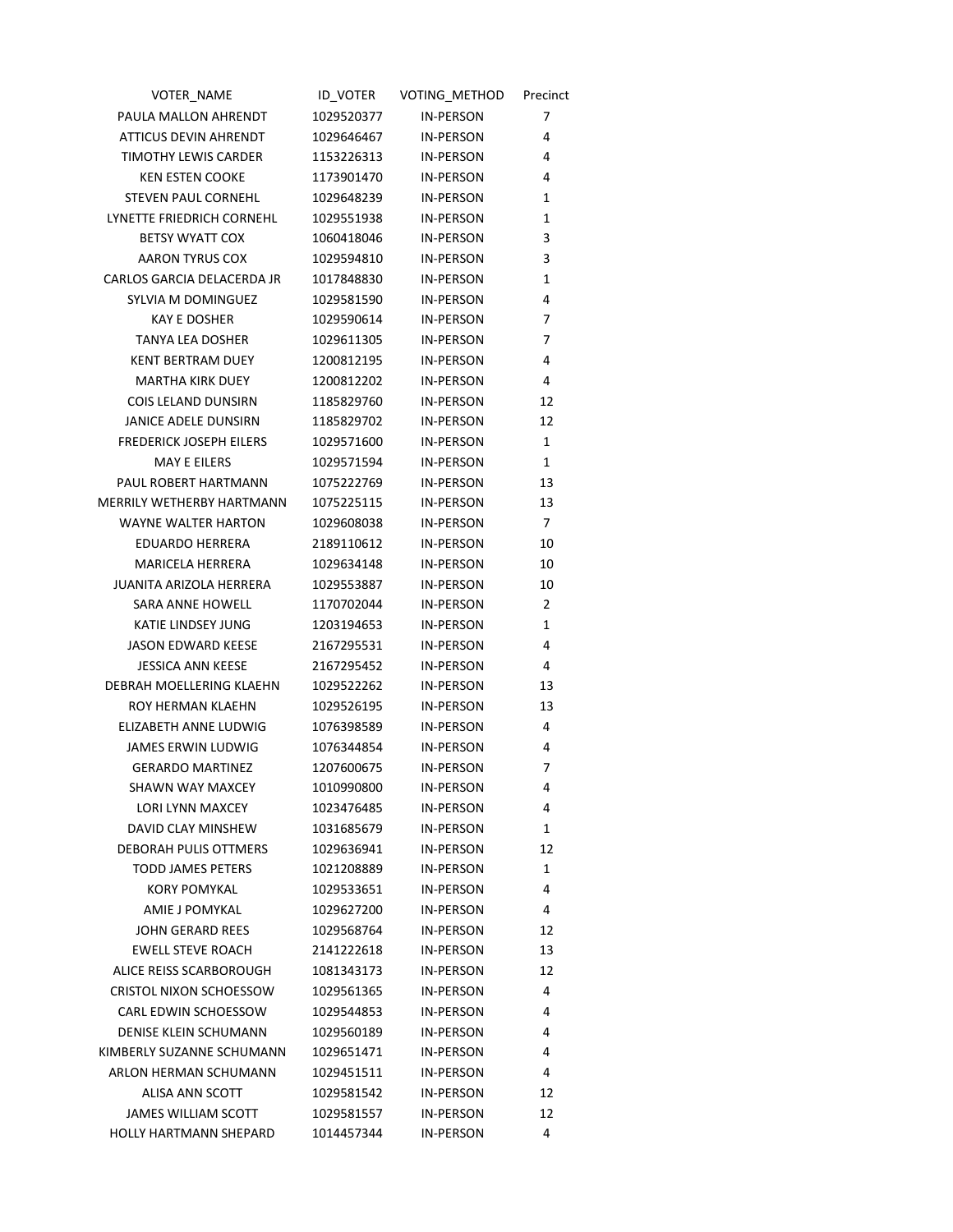| VOTER NAME                     | ID VOTER   | VOTING METHOD    | Precinct     |
|--------------------------------|------------|------------------|--------------|
| PAULA MALLON AHRENDT           | 1029520377 | <b>IN-PERSON</b> | 7            |
| ATTICUS DEVIN AHRENDT          | 1029646467 | IN-PERSON        | 4            |
| <b>TIMOTHY LEWIS CARDER</b>    | 1153226313 | <b>IN-PERSON</b> | 4            |
| <b>KEN ESTEN COOKE</b>         | 1173901470 | <b>IN-PERSON</b> | 4            |
| STEVEN PAUL CORNEHL            | 1029648239 | <b>IN-PERSON</b> | 1            |
| LYNETTE FRIEDRICH CORNEHL      | 1029551938 | <b>IN-PERSON</b> | 1            |
| <b>BETSY WYATT COX</b>         | 1060418046 | <b>IN-PERSON</b> | 3            |
| AARON TYRUS COX                | 1029594810 | <b>IN-PERSON</b> | 3            |
| CARLOS GARCIA DELACERDA JR     | 1017848830 | <b>IN-PERSON</b> | 1            |
| SYLVIA M DOMINGUEZ             | 1029581590 | <b>IN-PERSON</b> | 4            |
| <b>KAY E DOSHER</b>            | 1029590614 | <b>IN-PERSON</b> | 7            |
| TANYA LEA DOSHER               | 1029611305 | <b>IN-PERSON</b> | 7            |
| <b>KENT BERTRAM DUEY</b>       | 1200812195 | <b>IN-PERSON</b> | 4            |
| <b>MARTHA KIRK DUEY</b>        | 1200812202 | <b>IN-PERSON</b> | 4            |
| COIS LELAND DUNSIRN            | 1185829760 | <b>IN-PERSON</b> | 12           |
| JANICE ADELE DUNSIRN           | 1185829702 | <b>IN-PERSON</b> | 12           |
| <b>FREDERICK JOSEPH EILERS</b> | 1029571600 | <b>IN-PERSON</b> | $\mathbf{1}$ |
| <b>MAY E EILERS</b>            | 1029571594 | <b>IN-PERSON</b> | 1            |
| PAUL ROBERT HARTMANN           | 1075222769 | <b>IN-PERSON</b> | 13           |
| MERRILY WETHERBY HARTMANN      | 1075225115 | <b>IN-PERSON</b> | 13           |
| <b>WAYNE WALTER HARTON</b>     | 1029608038 | <b>IN-PERSON</b> | 7            |
| EDUARDO HERRERA                | 2189110612 | <b>IN-PERSON</b> | 10           |
| MARICELA HERRERA               | 1029634148 | <b>IN-PERSON</b> | 10           |
| JUANITA ARIZOLA HERRERA        | 1029553887 | <b>IN-PERSON</b> | 10           |
| SARA ANNE HOWELL               | 1170702044 | <b>IN-PERSON</b> | 2            |
| KATIE LINDSEY JUNG             | 1203194653 | <b>IN-PERSON</b> | 1            |
| <b>JASON EDWARD KEESE</b>      | 2167295531 | <b>IN-PERSON</b> | 4            |
| <b>JESSICA ANN KEESE</b>       | 2167295452 | <b>IN-PERSON</b> | 4            |
| DEBRAH MOELLERING KLAEHN       | 1029522262 | <b>IN-PERSON</b> | 13           |
| ROY HERMAN KLAEHN              | 1029526195 | <b>IN-PERSON</b> | 13           |
| ELIZABETH ANNE LUDWIG          | 1076398589 | <b>IN-PERSON</b> | 4            |
| <b>JAMES ERWIN LUDWIG</b>      | 1076344854 | <b>IN-PERSON</b> | 4            |
| <b>GERARDO MARTINEZ</b>        | 1207600675 | <b>IN-PERSON</b> | 7            |
| SHAWN WAY MAXCEY               | 1010990800 | <b>IN-PERSON</b> | 4            |
| LORI LYNN MAXCEY               | 1023476485 | <b>IN-PERSON</b> | 4            |
| DAVID CLAY MINSHEW             | 1031685679 | <b>IN-PERSON</b> | 1            |
| <b>DEBORAH PULIS OTTMERS</b>   | 1029636941 | <b>IN-PERSON</b> | 12           |
| <b>TODD JAMES PETERS</b>       | 1021208889 | <b>IN-PERSON</b> | 1            |
| <b>KORY POMYKAL</b>            | 1029533651 | <b>IN-PERSON</b> | 4            |
| AMIE J POMYKAL                 | 1029627200 | <b>IN-PERSON</b> | 4            |
| JOHN GERARD REES               | 1029568764 | <b>IN-PERSON</b> | 12           |
| <b>EWELL STEVE ROACH</b>       | 2141222618 | <b>IN-PERSON</b> | 13           |
| ALICE REISS SCARBOROUGH        | 1081343173 | <b>IN-PERSON</b> | 12           |
| <b>CRISTOL NIXON SCHOESSOW</b> | 1029561365 | <b>IN-PERSON</b> | 4            |
| <b>CARL EDWIN SCHOESSOW</b>    | 1029544853 | <b>IN-PERSON</b> | 4            |
| <b>DENISE KLEIN SCHUMANN</b>   | 1029560189 | <b>IN-PERSON</b> | 4            |
| KIMBERLY SUZANNE SCHUMANN      | 1029651471 | <b>IN-PERSON</b> | 4            |
| ARLON HERMAN SCHUMANN          | 1029451511 | <b>IN-PERSON</b> | 4            |
| ALISA ANN SCOTT                | 1029581542 | <b>IN-PERSON</b> | 12           |
| JAMES WILLIAM SCOTT            | 1029581557 | <b>IN-PERSON</b> | 12           |
| HOLLY HARTMANN SHEPARD         | 1014457344 | <b>IN-PERSON</b> | 4            |
|                                |            |                  |              |